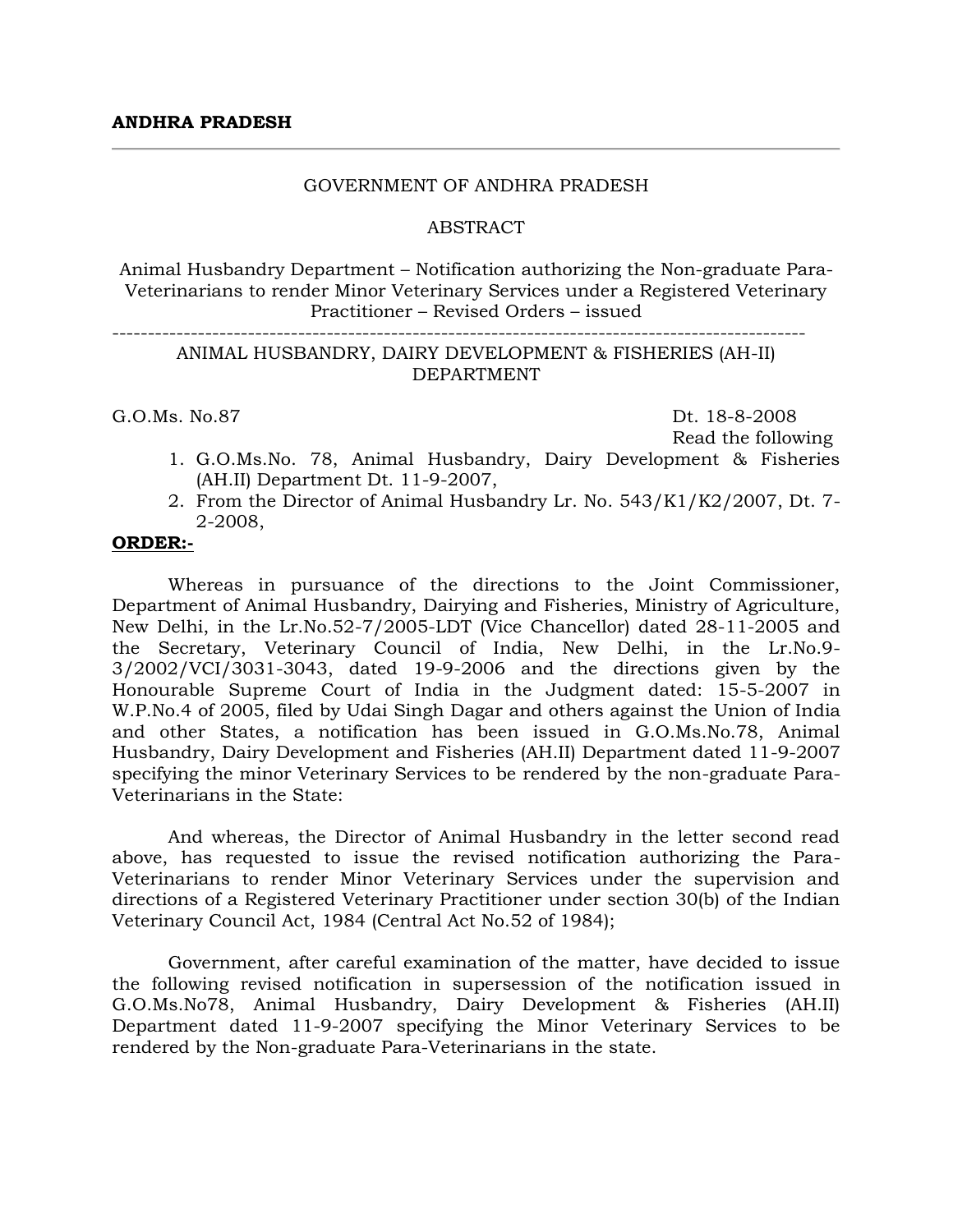#### GOVERNMENT OF ANDHRA PRADESH

#### **ABSTRACT**

Animal Husbandry Department – Notification authorizing the Non-graduate Para-Veterinarians to render Minor Veterinary Services under a Registered Veterinary Practitioner – Revised Orders – issued

# ANIMAL HUSBANDRY, DAIRY DEVELOPMENT & FISHERIES (AH-II) DEPARTMENT

-------------------------------------------------------------------------------------------------

G.O.Ms. No.87 Dt. 18-8-2008

Read the following

- 1. G.O.Ms.No. 78, Animal Husbandry, Dairy Development & Fisheries (AH.II) Department Dt. 11-9-2007,
- 2. From the Director of Animal Husbandry Lr. No. 543/K1/K2/2007, Dt. 7- 2-2008,

#### **ORDER:-**

Whereas in pursuance of the directions to the Joint Commissioner, Department of Animal Husbandry, Dairying and Fisheries, Ministry of Agriculture, New Delhi, in the Lr.No.52-7/2005-LDT (Vice Chancellor) dated 28-11-2005 and the Secretary, Veterinary Council of India, New Delhi, in the Lr.No.9- 3/2002/VCI/3031-3043, dated 19-9-2006 and the directions given by the Honourable Supreme Court of India in the Judgment dated: 15-5-2007 in W.P.No.4 of 2005, filed by Udai Singh Dagar and others against the Union of India and other States, a notification has been issued in G.O.Ms.No.78, Animal Husbandry, Dairy Development and Fisheries (AH.II) Department dated 11-9-2007 specifying the minor Veterinary Services to be rendered by the non-graduate Para-Veterinarians in the State:

And whereas, the Director of Animal Husbandry in the letter second read above, has requested to issue the revised notification authorizing the Para-Veterinarians to render Minor Veterinary Services under the supervision and directions of a Registered Veterinary Practitioner under section 30(b) of the Indian Veterinary Council Act, 1984 (Central Act No.52 of 1984);

Government, after careful examination of the matter, have decided to issue the following revised notification in supersession of the notification issued in G.O.Ms.No78, Animal Husbandry, Dairy Development & Fisheries (AH.II) Department dated 11-9-2007 specifying the Minor Veterinary Services to be rendered by the Non-graduate Para-Veterinarians in the state.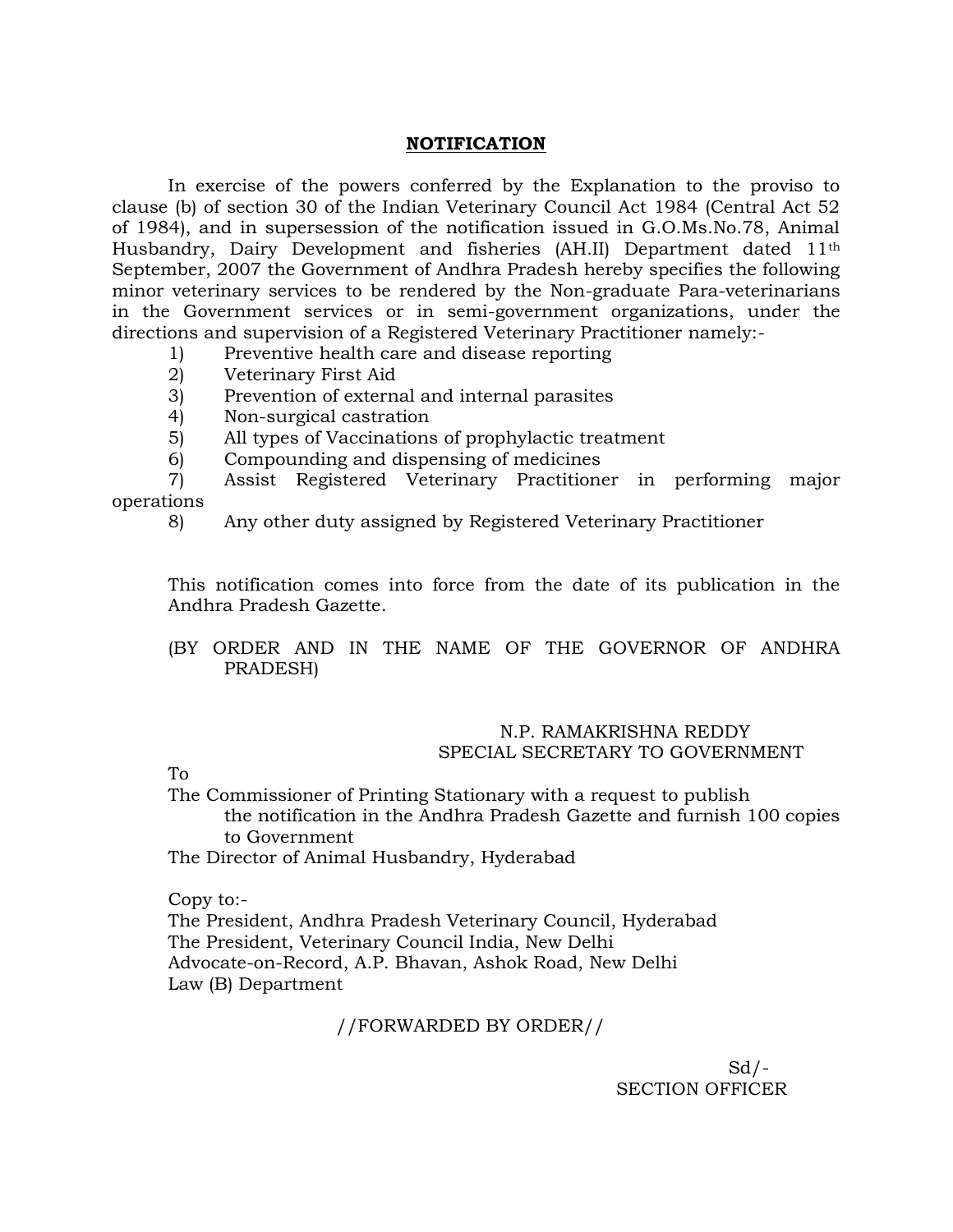#### **NOTIFICATION**

In exercise of the powers conferred by the Explanation to the proviso to clause (b) of section 30 of the Indian Veterinary Council Act 1984 (Central Act 52 of 1984), and in supersession of the notification issued in G.O.Ms.No.78, Animal Husbandry, Dairy Development and fisheries (AH.II) Department dated 11th September, 2007 the Government of Andhra Pradesh hereby specifies the following minor veterinary services to be rendered by the Non-graduate Para-veterinarians in the Government services or in semi-government organizations, under the directions and supervision of a Registered Veterinary Practitioner namely:-

- 1) Preventive health care and disease reporting
- 2) Veterinary First Aid
- 3) Prevention of external and internal parasites
- 4) Non-surgical castration
- 5) All types of Vaccinations of prophylactic treatment
- 6) Compounding and dispensing of medicines

7) Assist Registered Veterinary Practitioner in performing major operations

8) Any other duty assigned by Registered Veterinary Practitioner

This notification comes into force from the date of its publication in the Andhra Pradesh Gazette.

## (BY ORDER AND IN THE NAME OF THE GOVERNOR OF ANDHRA PRADESH)

## N.P. RAMAKRISHNA REDDY SPECIAL SECRETARY TO GOVERNMENT

To

The Commissioner of Printing Stationary with a request to publish the notification in the Andhra Pradesh Gazette and furnish 100 copies to Government

The Director of Animal Husbandry, Hyderabad

Copy to:-

The President, Andhra Pradesh Veterinary Council, Hyderabad The President, Veterinary Council India, New Delhi Advocate-on-Record, A.P. Bhavan, Ashok Road, New Delhi Law (B) Department

## //FORWARDED BY ORDER//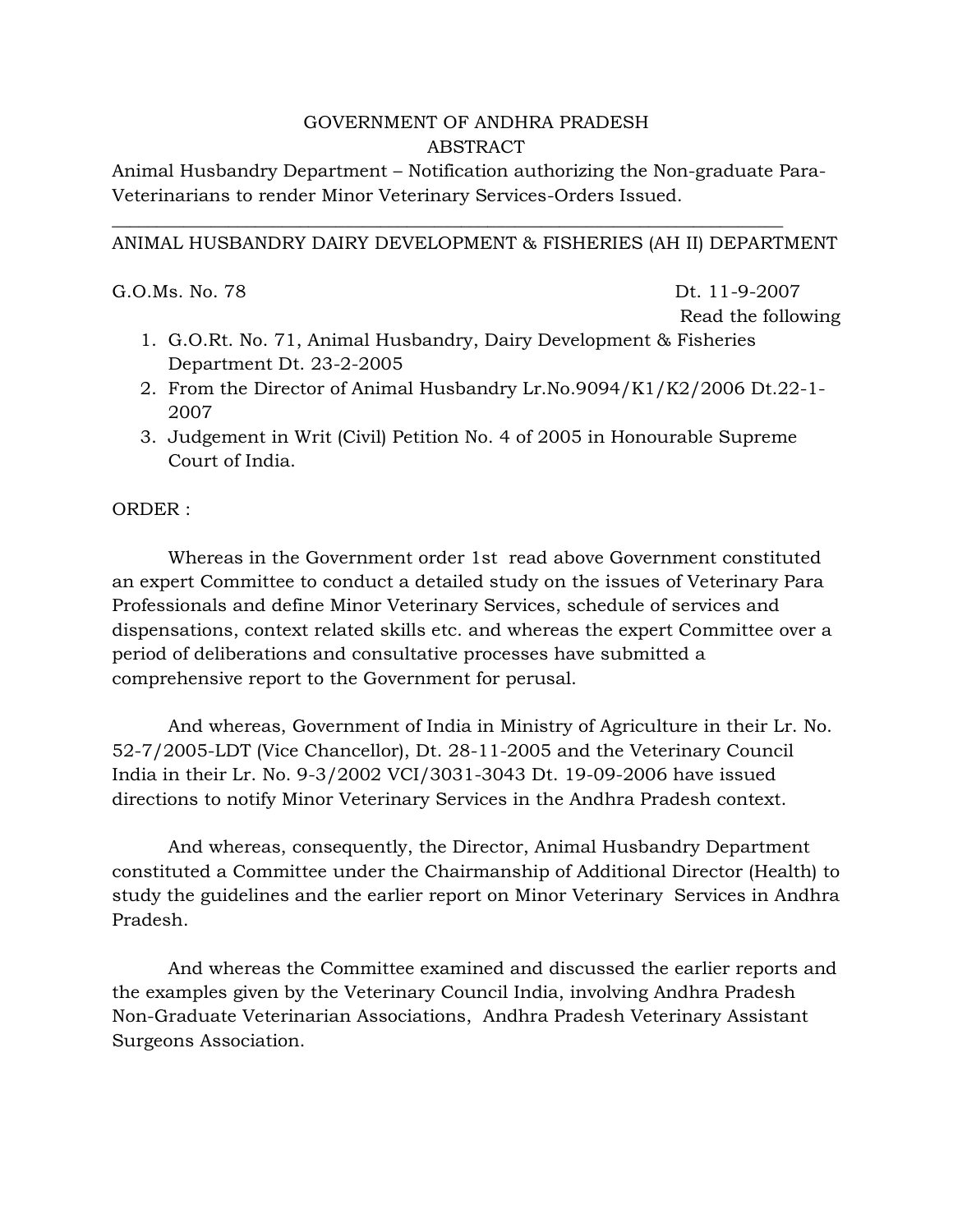# GOVERNMENT OF ANDHRA PRADESH ABSTRACT

Animal Husbandry Department – Notification authorizing the Non-graduate Para-Veterinarians to render Minor Veterinary Services-Orders Issued.

\_\_\_\_\_\_\_\_\_\_\_\_\_\_\_\_\_\_\_\_\_\_\_\_\_\_\_\_\_\_\_\_\_\_\_\_\_\_\_\_\_\_\_\_\_\_\_\_\_\_\_\_\_\_\_\_\_\_\_\_\_\_\_\_\_\_\_\_\_\_\_\_\_\_\_

# ANIMAL HUSBANDRY DAIRY DEVELOPMENT & FISHERIES (AH II) DEPARTMENT

G.O.Ms. No. 78 Dt. 11-9-2007

Read the following

- 1. G.O.Rt. No. 71, Animal Husbandry, Dairy Development & Fisheries Department Dt. 23-2-2005
- 2. From the Director of Animal Husbandry Lr.No.9094/K1/K2/2006 Dt.22-1- 2007
- 3. Judgement in Writ (Civil) Petition No. 4 of 2005 in Honourable Supreme Court of India.

ORDER :

Whereas in the Government order 1st read above Government constituted an expert Committee to conduct a detailed study on the issues of Veterinary Para Professionals and define Minor Veterinary Services, schedule of services and dispensations, context related skills etc. and whereas the expert Committee over a period of deliberations and consultative processes have submitted a comprehensive report to the Government for perusal.

And whereas, Government of India in Ministry of Agriculture in their Lr. No. 52-7/2005-LDT (Vice Chancellor), Dt. 28-11-2005 and the Veterinary Council India in their Lr. No. 9-3/2002 VCI/3031-3043 Dt. 19-09-2006 have issued directions to notify Minor Veterinary Services in the Andhra Pradesh context.

And whereas, consequently, the Director, Animal Husbandry Department constituted a Committee under the Chairmanship of Additional Director (Health) to study the guidelines and the earlier report on Minor Veterinary Services in Andhra Pradesh.

And whereas the Committee examined and discussed the earlier reports and the examples given by the Veterinary Council India, involving Andhra Pradesh Non-Graduate Veterinarian Associations, Andhra Pradesh Veterinary Assistant Surgeons Association.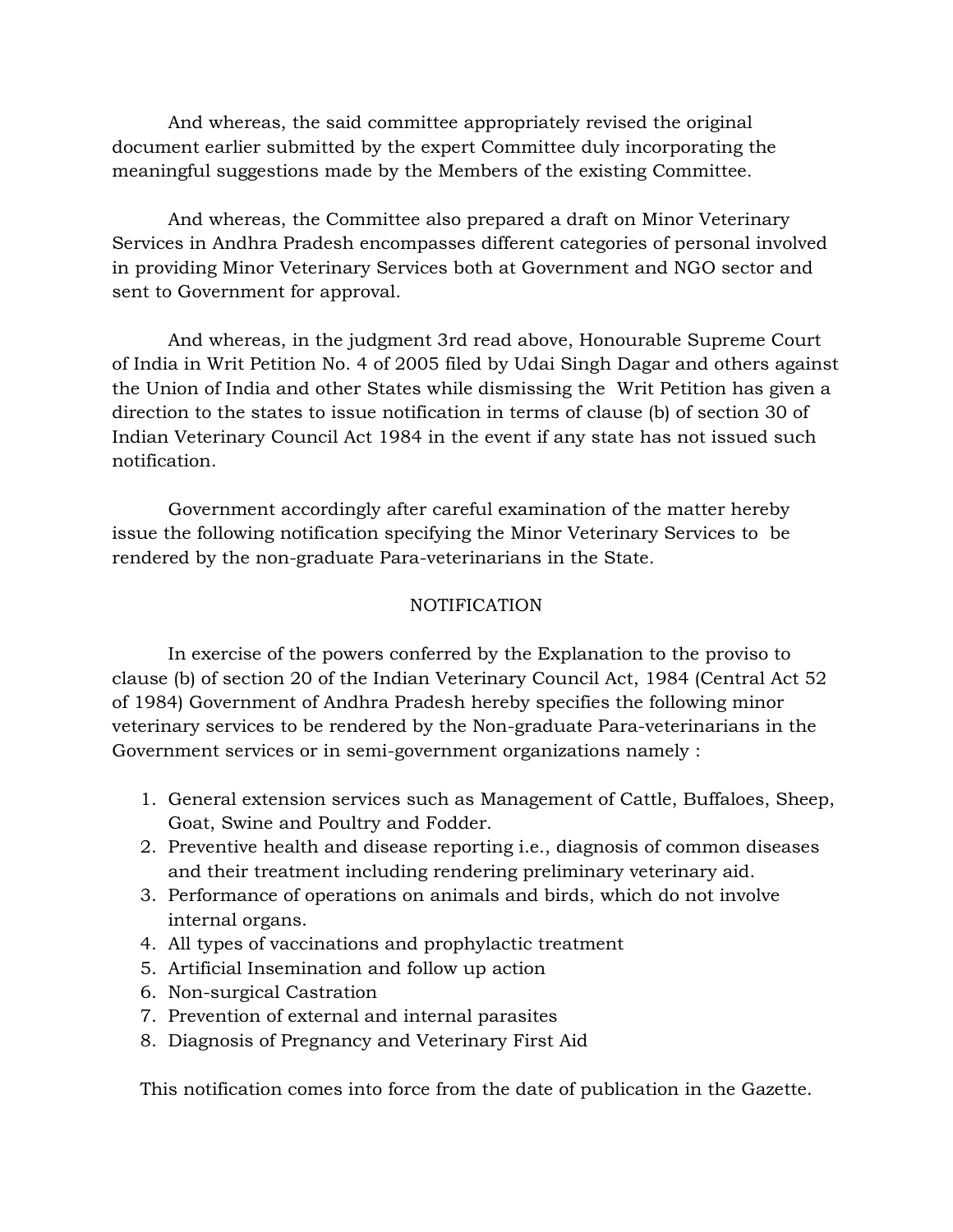And whereas, the said committee appropriately revised the original document earlier submitted by the expert Committee duly incorporating the meaningful suggestions made by the Members of the existing Committee.

And whereas, the Committee also prepared a draft on Minor Veterinary Services in Andhra Pradesh encompasses different categories of personal involved in providing Minor Veterinary Services both at Government and NGO sector and sent to Government for approval.

And whereas, in the judgment 3rd read above, Honourable Supreme Court of India in Writ Petition No. 4 of 2005 filed by Udai Singh Dagar and others against the Union of India and other States while dismissing the Writ Petition has given a direction to the states to issue notification in terms of clause (b) of section 30 of Indian Veterinary Council Act 1984 in the event if any state has not issued such notification.

Government accordingly after careful examination of the matter hereby issue the following notification specifying the Minor Veterinary Services to be rendered by the non-graduate Para-veterinarians in the State.

## **NOTIFICATION**

In exercise of the powers conferred by the Explanation to the proviso to clause (b) of section 20 of the Indian Veterinary Council Act, 1984 (Central Act 52 of 1984) Government of Andhra Pradesh hereby specifies the following minor veterinary services to be rendered by the Non-graduate Para-veterinarians in the Government services or in semi-government organizations namely :

- 1. General extension services such as Management of Cattle, Buffaloes, Sheep, Goat, Swine and Poultry and Fodder.
- 2. Preventive health and disease reporting i.e., diagnosis of common diseases and their treatment including rendering preliminary veterinary aid.
- 3. Performance of operations on animals and birds, which do not involve internal organs.
- 4. All types of vaccinations and prophylactic treatment
- 5. Artificial Insemination and follow up action
- 6. Non-surgical Castration
- 7. Prevention of external and internal parasites
- 8. Diagnosis of Pregnancy and Veterinary First Aid

This notification comes into force from the date of publication in the Gazette.